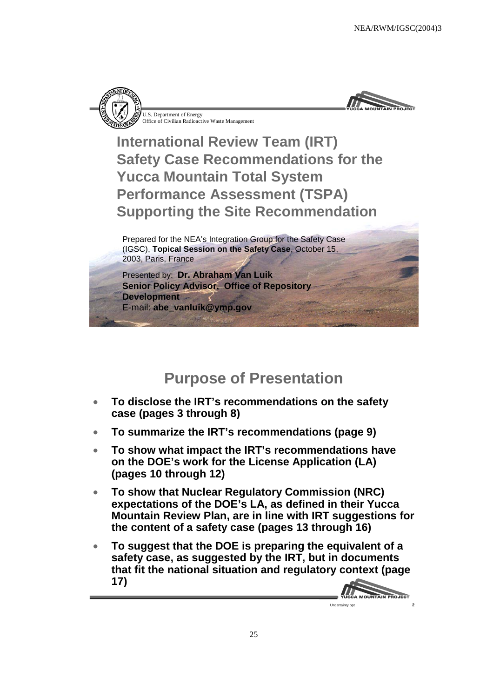



**International Review Team (IRT) Safety Case Recommendations for the Yucca Mountain Total System Performance Assessment (TSPA) Supporting the Site Recommendation**

Prepared for the NEA's Integration Group for the Safety Case (IGSC), **Topical Session on the Safety Case**, October 15, 2003, Paris, France

Presented by: **Dr. Abraham Van Luik Senior Policy Advisor, Office of Repository Development** E-mail: **abe\_vanluik@ymp.gov**

#### **Purpose of Presentation**

- **To disclose the IRT's recommendations on the safety case (pages 3 through 8)**
- **To summarize the IRT's recommendations (page 9)**
- **To show what impact the IRT's recommendations have on the DOE's work for the License Application (LA) (pages 10 through 12)**
- **To show that Nuclear Regulatory Commission (NRC) expectations of the DOE's LA, as defined in their Yucca Mountain Review Plan, are in line with IRT suggestions for the content of a safety case (pages 13 through 16)**
- **To suggest that the DOE is preparing the equivalent of a safety case, as suggested by the IRT, but in documents that fit the national situation and regulatory context (page 17)**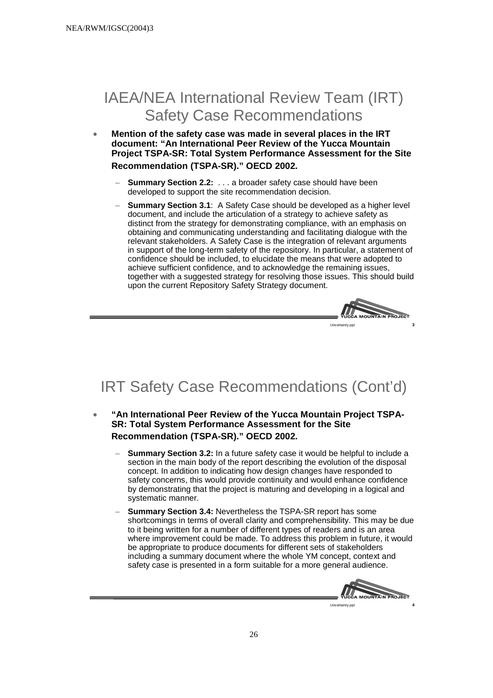## IAEA/NEA International Review Team (IRT) Safety Case Recommendations

- **Mention of the safety case was made in several places in the IRT document: "An International Peer Review of the Yucca Mountain Project TSPA-SR: Total System Performance Assessment for the Site Recommendation (TSPA-SR)." OECD 2002.**
	- **Summary Section 2.2:** . . . a broader safety case should have been developed to support the site recommendation decision.
	- **Summary Section 3.1**: A Safety Case should be developed as a higher level document, and include the articulation of a strategy to achieve safety as distinct from the strategy for demonstrating compliance, with an emphasis on obtaining and communicating understanding and facilitating dialogue with the relevant stakeholders. A Safety Case is the integration of relevant arguments in support of the long-term safety of the repository. In particular, a statement of confidence should be included, to elucidate the means that were adopted to achieve sufficient confidence, and to acknowledge the remaining issues, together with a suggested strategy for resolving those issues. This should build upon the current Repository Safety Strategy document.



# IRT Safety Case Recommendations (Cont'd)

- **"An International Peer Review of the Yucca Mountain Project TSPA-SR: Total System Performance Assessment for the Site Recommendation (TSPA-SR)." OECD 2002.**
	- **Summary Section 3.2:** In a future safety case it would be helpful to include a section in the main body of the report describing the evolution of the disposal concept. In addition to indicating how design changes have responded to safety concerns, this would provide continuity and would enhance confidence by demonstrating that the project is maturing and developing in a logical and systematic manner.
	- **Summary Section 3.4:** Nevertheless the TSPA-SR report has some shortcomings in terms of overall clarity and comprehensibility. This may be due to it being written for a number of different types of readers and is an area where improvement could be made. To address this problem in future, it would be appropriate to produce documents for different sets of stakeholders including a summary document where the whole YM concept, context and safety case is presented in a form suitable for a more general audience.

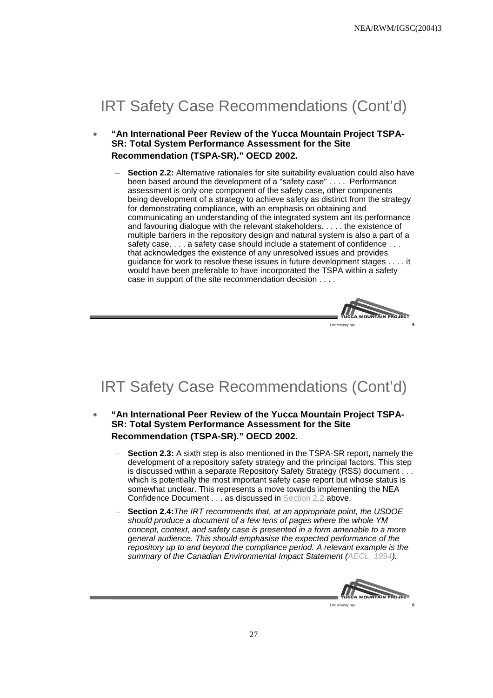## IRT Safety Case Recommendations (Cont'd)

- **"An International Peer Review of the Yucca Mountain Project TSPA-SR: Total System Performance Assessment for the Site Recommendation (TSPA-SR)." OECD 2002.**
	- Section 2.2: Alternative rationales for site suitability evaluation could also have been based around the development of a "safety case" . . . . Performance assessment is only one component of the safety case, other components being development of a strategy to achieve safety as distinct from the strategy for demonstrating compliance, with an emphasis on obtaining and communicating an understanding of the integrated system ant its performance and favouring dialogue with the relevant stakeholders. . . . . the existence of multiple barriers in the repository design and natural system is also a part of a safety case. . . . a safety case should include a statement of confidence . . . that acknowledges the existence of any unresolved issues and provides guidance for work to resolve these issues in future development stages . . . . it would have been preferable to have incorporated the TSPA within a safety case in support of the site recommendation decision . . . .



# IRT Safety Case Recommendations (Cont'd)

- **"An International Peer Review of the Yucca Mountain Project TSPA-SR: Total System Performance Assessment for the Site Recommendation (TSPA-SR)." OECD 2002.**
	- **Section 2.3:** A sixth step is also mentioned in the TSPA-SR report, namely the development of a repository safety strategy and the principal factors. This step is discussed within a separate Repository Safety Strategy (RSS) document . . . which is potentially the most important safety case report but whose status is somewhat unclear. This represents a move towards implementing the NEA Confidence Document . . . as discussed in Section 2.2 above.
	- **Section 2.4:** The IRT recommends that, at an appropriate point, the USDOE should produce a document of a few tens of pages where the whole YM concept, context, and safety case is presented in a form amenable to a more general audience. This should emphasise the expected performance of the repository up to and beyond the compliance period. A relevant example is the summary of the Canadian Environmental Impact Statement (AECL, 1994).



Uncertainty.ppt **6**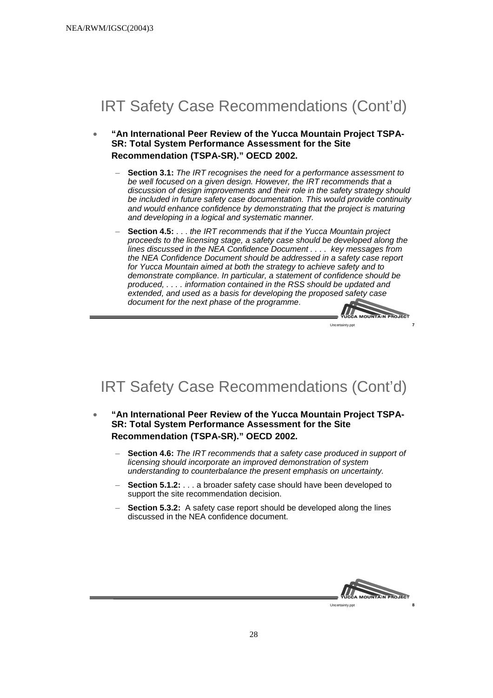# IRT Safety Case Recommendations (Cont'd)

- **"An International Peer Review of the Yucca Mountain Project TSPA-SR: Total System Performance Assessment for the Site Recommendation (TSPA-SR)." OECD 2002.**
	- **Section 3.1:** The IRT recognises the need for a performance assessment to be well focused on a given design. However, the IRT recommends that a discussion of design improvements and their role in the safety strategy should be included in future safety case documentation. This would provide continuity and would enhance confidence by demonstrating that the project is maturing and developing in a logical and systematic manner.
	- **Section 4.5:** . . . the IRT recommends that if the Yucca Mountain project proceeds to the licensing stage, a safety case should be developed along the lines discussed in the NEA Confidence Document . . . . key messages from the NEA Confidence Document should be addressed in a safety case report for Yucca Mountain aimed at both the strategy to achieve safety and to demonstrate compliance. In particular, a statement of confidence should be produced, . . . . information contained in the RSS should be updated and extended, and used as a basis for developing the proposed safety case document for the next phase of the programme.



# IRT Safety Case Recommendations (Cont'd)

- **"An International Peer Review of the Yucca Mountain Project TSPA-SR: Total System Performance Assessment for the Site Recommendation (TSPA-SR)." OECD 2002.**
	- **Section 4.6:** The IRT recommends that a safety case produced in support of licensing should incorporate an improved demonstration of system understanding to counterbalance the present emphasis on uncertainty.
	- **Section 5.1.2:**  $\ldots$  a broader safety case should have been developed to support the site recommendation decision.
	- **Section 5.3.2:** A safety case report should be developed along the lines discussed in the NEA confidence document.



28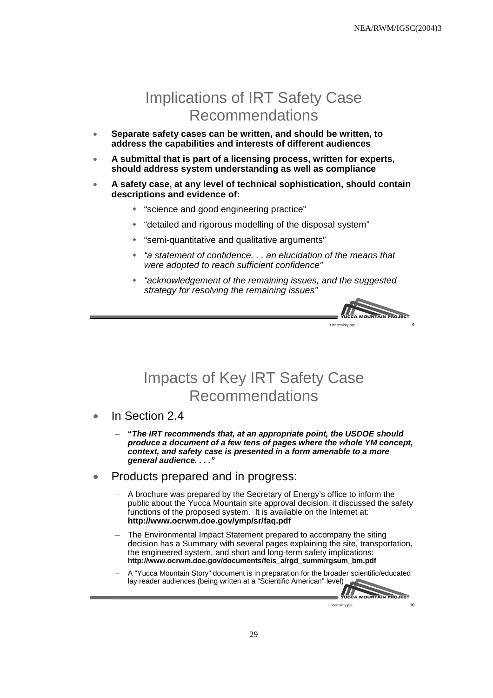#### Implications of IRT Safety Case Recommendations

- **Separate safety cases can be written, and should be written, to address the capabilities and interests of different audiences**
- **A submittal that is part of a licensing process, written for experts, should address system understanding as well as compliance**
- **A safety case, at any level of technical sophistication, should contain descriptions and evidence of:**
	- "science and good engineering practice"
	- "detailed and rigorous modelling of the disposal system"
	- "semi-quantitative and qualitative arguments"
	- "a statement of confidence. . . an elucidation of the means that were adopted to reach sufficient confidence"
	- "acknowledgement of the remaining issues, and the suggested strategy for resolving the remaining issues"



#### Impacts of Key IRT Safety Case Recommendations

- In Section 2.4
	- **"The IRT recommends that, at an appropriate point, the USDOE should produce a document of a few tens of pages where the whole YM concept, context, and safety case is presented in a form amenable to a more general audience. . . ."**
- Products prepared and in progress:
	- A brochure was prepared by the Secretary of Energy's office to inform the public about the Yucca Mountain site approval decision, it discussed the safety functions of the proposed system. It is available on the Internet at: **http://www.ocrwm.doe.gov/ymp/sr/faq.pdf**
	- The Environmental Impact Statement prepared to accompany the siting decision has a Summary with several pages explaining the site, transportation, the engineered system, and short and long-term safety implications: **http://www.ocrwm.doe.gov/documents/feis\_a/rgd\_summ/rgsum\_bm.pdf**
	- A "Yucca Mountain Story" document is in preparation for the broader scientific/educated lay reader audiences (being written at a "Scientific American" level)À

VUCCA MOUNTAIN PROJECT Uncertainty.ppt **10**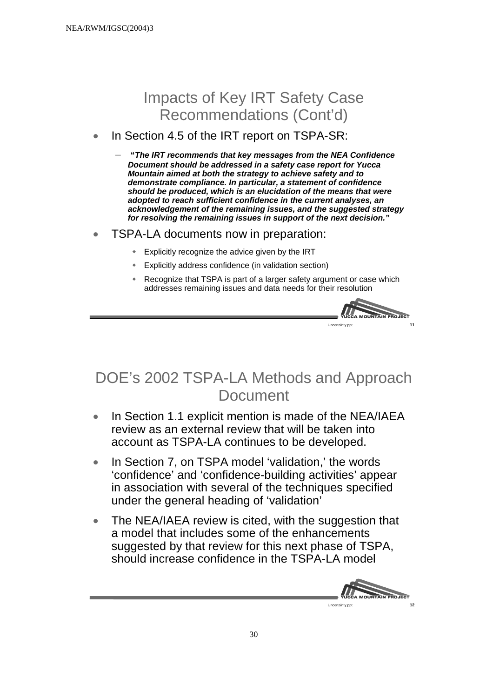# Impacts of Key IRT Safety Case Recommendations (Cont'd)

#### In Section 4.5 of the IRT report on TSPA-SR:

– **"The IRT recommends that key messages from the NEA Confidence Document should be addressed in a safety case report for Yucca Mountain aimed at both the strategy to achieve safety and to demonstrate compliance. In particular, a statement of confidence should be produced, which is an elucidation of the means that were adopted to reach sufficient confidence in the current analyses, an acknowledgement of the remaining issues, and the suggested strategy for resolving the remaining issues in support of the next decision."**

- TSPA-LA documents now in preparation:
	- Explicitly recognize the advice given by the IRT
	- Explicitly address confidence (in validation section)
	- Recognize that TSPA is part of a larger safety argument or case which addresses remaining issues and data needs for their resolution



# DOE's 2002 TSPA-LA Methods and Approach Document

- In Section 1.1 explicit mention is made of the NEA/IAEA review as an external review that will be taken into account as TSPA-LA continues to be developed.
- In Section 7, on TSPA model 'validation,' the words 'confidence' and 'confidence-building activities' appear in association with several of the techniques specified under the general heading of 'validation'
- The NEA/IAEA review is cited, with the suggestion that a model that includes some of the enhancements suggested by that review for this next phase of TSPA, should increase confidence in the TSPA-LA model

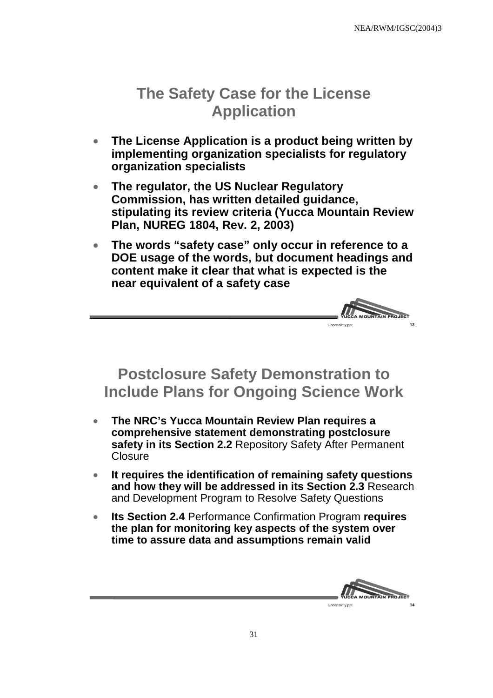# **The Safety Case for the License Application**

- **The License Application is a product being written by implementing organization specialists for regulatory organization specialists**
- **The regulator, the US Nuclear Regulatory Commission, has written detailed guidance, stipulating its review criteria (Yucca Mountain Review Plan, NUREG 1804, Rev. 2, 2003)**
- **The words "safety case" only occur in reference to a DOE usage of the words, but document headings and content make it clear that what is expected is the near equivalent of a safety case**



## **Postclosure Safety Demonstration to Include Plans for Ongoing Science Work**

- **The NRC's Yucca Mountain Review Plan requires a comprehensive statement demonstrating postclosure safety in its Section 2.2** Repository Safety After Permanent **Closure**
- **It requires the identification of remaining safety questions and how they will be addressed in its Section 2.3** Research and Development Program to Resolve Safety Questions
- **Its Section 2.4** Performance Confirmation Program **requires the plan for monitoring key aspects of the system over time to assure data and assumptions remain valid**

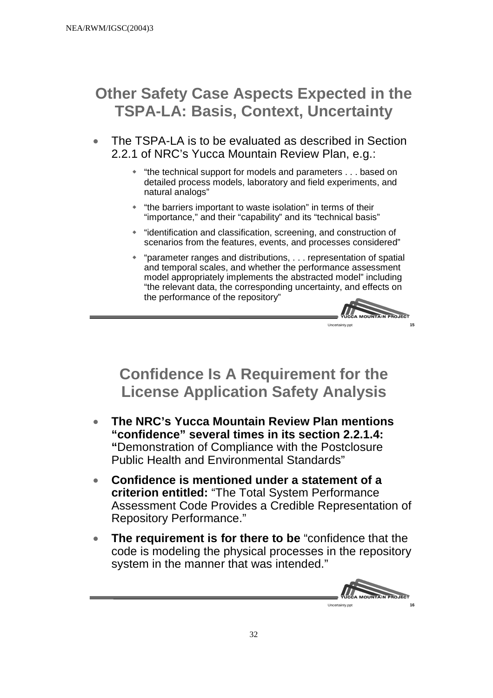# **Other Safety Case Aspects Expected in the TSPA-LA: Basis, Context, Uncertainty**

- The TSPA-LA is to be evaluated as described in Section 2.2.1 of NRC's Yucca Mountain Review Plan, e.g.:
	- "the technical support for models and parameters . . . based on detailed process models, laboratory and field experiments, and natural analogs"
	- "the barriers important to waste isolation" in terms of their "importance," and their "capability" and its "technical basis"
	- "identification and classification, screening, and construction of scenarios from the features, events, and processes considered"
	- "parameter ranges and distributions, . . . representation of spatial and temporal scales, and whether the performance assessment model appropriately implements the abstracted model" including "the relevant data, the corresponding uncertainty, and effects on the performance of the repository"



# **Confidence Is A Requirement for the License Application Safety Analysis**

- **The NRC's Yucca Mountain Review Plan mentions "confidence" several times in its section 2.2.1.4: "**Demonstration of Compliance with the Postclosure Public Health and Environmental Standards"
- **Confidence is mentioned under a statement of a criterion entitled:** "The Total System Performance Assessment Code Provides a Credible Representation of Repository Performance."
- **The requirement is for there to be** "confidence that the code is modeling the physical processes in the repository system in the manner that was intended."